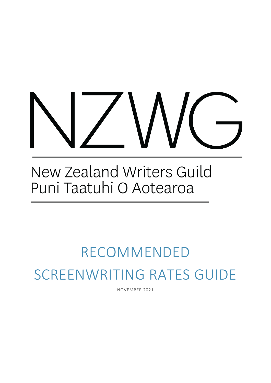## New Zealand Writers Guild Puni Taatuhi O Aotearoa

# RECOMMENDED SCREENWRITING RATES GUIDE

NOVEMBER 2021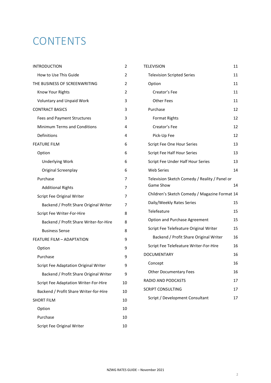### **CONTENTS**

| <b>INTRODUCTION</b>                    | 2  |
|----------------------------------------|----|
| How to Use This Guide                  | 2  |
| THE BUSINESS OF SCREENWRITING          | 2  |
| Know Your Rights                       | 2  |
| <b>Voluntary and Unpaid Work</b>       | 3  |
| <b>CONTRACT BASICS</b>                 | 3  |
| Fees and Payment Structures            | 3  |
| <b>Minimum Terms and Conditions</b>    | 4  |
| Definitions                            | 4  |
| <b>FEATURE FILM</b>                    | 6  |
| Option                                 | 6  |
| <b>Underlying Work</b>                 | 6  |
| Original Screenplay                    | 6  |
| Purchase                               | 7  |
| <b>Additional Rights</b>               | 7  |
| <b>Script Fee Original Writer</b>      | 7  |
| Backend / Profit Share Original Writer | 7  |
| Script Fee Writer-For-Hire             | 8  |
| Backend / Profit Share Writer-for-Hire | 8  |
| <b>Business Sense</b>                  | 8  |
| <b>FEATURE FILM - ADAPTATION</b>       | 9  |
| Option                                 | 9  |
| Purchase                               | 9  |
| Script Fee Adaptation Original Writer  | 9  |
| Backend / Profit Share Original Writer | 9  |
| Script Fee Adaptation Writer-For-Hire  | 10 |
| Backend / Profit Share Writer-for-Hire | 10 |
| <b>SHORT FILM</b>                      | 10 |
| Option                                 | 10 |
| Purchase                               | 10 |
| <b>Script Fee Original Writer</b>      | 10 |

| TELEVISION                                                        | 11 |
|-------------------------------------------------------------------|----|
| <b>Television Scripted Series</b>                                 | 11 |
| Option                                                            | 11 |
| Creator's Fee                                                     | 11 |
| <b>Other Fees</b>                                                 | 11 |
| Purchase                                                          | 12 |
| <b>Format Rights</b>                                              | 12 |
| Creator's Fee                                                     | 12 |
| Pick-Up Fee                                                       | 12 |
| Script Fee One Hour Series                                        | 13 |
| Script Fee Half Hour Series                                       | 13 |
| Script Fee Under Half Hour Series                                 | 13 |
| <b>Web Series</b>                                                 | 14 |
| Television Sketch Comedy / Reality / Panel or<br><b>Game Show</b> | 14 |
| Children's Sketch Comedy / Magazine Format 14                     |    |
| Daily/Weekly Rates Series                                         | 15 |
| Telefeature                                                       | 15 |
| Option and Purchase Agreement                                     | 15 |
| Script Fee Telefeature Original Writer                            | 15 |
| Backend / Profit Share Original Writer                            | 16 |
| Script Fee Telefeature Writer-For-Hire                            | 16 |
| <b>DOCUMENTARY</b>                                                | 16 |
| Concept                                                           | 16 |
| <b>Other Documentary Fees</b>                                     | 16 |
| <b>RADIO AND PODCASTS</b>                                         | 17 |
| <b>SCRIPT CONSULTING</b>                                          | 17 |
| Script / Development Consultant                                   | 17 |
|                                                                   |    |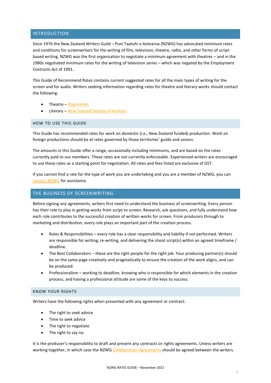#### <span id="page-2-0"></span>INTRODUCTION

Since 1976 the New Zealand Writers Guild – Puni Taatuhi o Aotearoa (NZWG) has advocated minimum rates and conditions for screenwriters for the writing of film, television, theatre, radio, and other forms of scriptbased writing. NZWG was the first organisation to negotiate a minimum agreement with theatres – and in the 1980s negotiated minimum rates for the writing of television series – which was negated by the Employment Contracts Act of 1991.

This Guide of Recommend Rates contains current suggested rates for all the main types of writing for the screen and for audio. Writers seeking information regarding rates for theatre and literary works should contact the following:

- Theatre [Playmarket](https://www.playmarket.org.nz/)
- Literary [New Zealand Society of Authors](https://authors.org.nz/)

#### <span id="page-2-1"></span>HOW TO USE THIS GUIDE

This Guide has recommended rates for work on domestic (i.e., New Zealand funded) production. Work on foreign productions should be at rates governed by those territories' guilds and unions.

The amounts in this Guide offer a range, occasionally including minimums, and are based on the rates currently paid to our members. These rates are not currently enforceable. Experienced writers are encouraged to use these rates as a starting point for negotiation. All rates and fees listed are exclusive of GST.

If you cannot find a rate for the type of work you are undertaking and you are a member of NZWG, you can [contact NZWG](mailto:guildhq@nzwg.org.nz) for assistance.

#### <span id="page-2-2"></span>THE BUSINESS OF SCREENWRITING

Before signing any agreements, writers first need to understand the business of screenwriting. Every person has their role to play in getting works from script to screen. Research, ask questions, and fully understand how each role contributes to the successful creation of written works for screen. From producers through to marketing and distribution, every role plays an important part of the creation process.

- Roles & Responsibilities every role has a clear responsibility and liability if not performed. Writers are responsible for writing, re-writing, and delivering the shoot script(s) within an agreed timeframe / deadline.
- The Best Collaborators these are the right people for the right job. Your producing partner(s) should be on the same page creatively and pragmatically to ensure the creation of the work aligns, and can be produced.
- Professionalism working to deadline, knowing who is responsible for which elements in the creation process, and having a professional attitude are some of the keys to success.

#### <span id="page-2-3"></span>KNOW YOUR RIGHTS

Writers have the following rights when presented with any agreement or contract:

- The right to seek advice
- Time to seek advice
- The right to negotiate
- The right to say no

It is the producer's responsibility to draft and present any contracts or rights agreements. Unless writers are working together, in which case the NZWG [Collaboration Agreements](https://www.nzwg.org.nz/copy-of-contracts) should be agreed between the writers.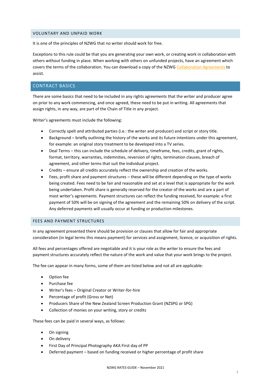#### <span id="page-3-0"></span>VOLUNTARY AND UNPAID WORK

It is one of the principles of NZWG that no writer should work for free.

Exceptions to this rule could be that you are generating your own work, or creating work in collaboration with others without funding in place. When working with others on unfunded projects, have an agreement which covers the terms of the collaboration. You can download a copy of the NZWG [Collaboration Agreements](https://www.nzwg.org.nz/copy-of-contracts) to assist.

#### <span id="page-3-1"></span>CONTRACT BASICS

There are some basics that need to be included in any rights agreements that the writer and producer agree on prior to any work commencing, and once agreed, these need to be put in writing. All agreements that assign rights, in any way, are part of the Chain of Title in any project.

Writer's agreements must include the following:

- Correctly spelt and attributed parties (i.e.: the writer and producer) and script or story title.
- Background briefly outlining the history of the works and its future intentions under this agreement, for example: an original story treatment to be developed into a TV series.
- Deal Terms this can include the schedule of delivery, timeframe, fees, credits, grant of rights, format, territory, warranties, indemnities, reversion of rights, termination clauses, breach of agreement, and other terms that suit the individual project.
- Credits ensure all credits accurately reflect the ownership and creation of the works.
- Fees, profit share and payment structures these will be different depending on the type of works being created. Fees need to be fair and reasonable and set at a level that is appropriate for the work being undertaken. Profit share is generally reserved for the creator of the works and are a part of most writer's agreements. Payment structures can reflect the funding received, for example: a first payment of 50% will be on signing of the agreement and the remaining 50% on delivery of the script. Any deferred payments will usually occur at funding or production milestones.

#### <span id="page-3-2"></span>FEES AND PAYMENT STRUCTURES

In any agreement presented there should be provision or clauses that allow for fair and appropriate consideration (in legal terms this means payment) for services and assignment, licence, or acquisition of rights.

All fees and percentages offered are negotiable and it is your role as the writer to ensure the fees and payment structures accurately reflect the nature of the work and value that your work brings to the project.

The fee can appear in many forms, some of them are listed below and not all are applicable:

- Option fee
- Purchase fee
- Writer's fees Original Creator or Writer-for-hire
- Percentage of profit (Gross or Net)
- Producers Share of the New Zealand Screen Production Grant (NZSPG or SPG)
- Collection of monies on your writing, story or credits

These fees can be paid in several ways, as follows:

- On signing
- On delivery
- First Day of Principal Photography AKA First day of PP
- Deferred payment based on funding received or higher percentage of profit share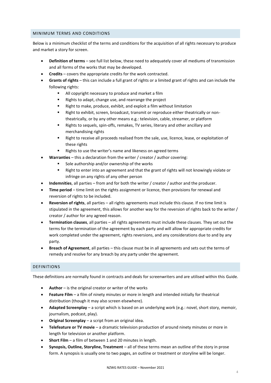#### <span id="page-4-0"></span>MINIMUM TERMS AND CONDITIONS

Below is a minimum checklist of the terms and conditions for the acquisition of all rights necessary to produce and market a story for screen.

- **Definition of terms** see full list below, these need to adequately cover all mediums of transmission and all forms of the works that may be developed.
- **Credits** covers the appropriate credits for the work contracted.
- **Grants of rights** this can include a full grant of rights or a limited grant of rights and can include the following rights:
	- All copyright necessary to produce and market a film
	- Rights to adapt, change use, and rearrange the project
	- Right to make, produce, exhibit, and exploit a film without limitation
	- Right to exhibit, screen, broadcast, transmit or reproduce either theatrically or nontheatrically, or by any other means e.g.: television, cable, streamer, or platform
	- Rights to sequels, spin-offs, remakes, TV series, literary and other ancillary and merchandising rights
	- Right to receive all proceeds realised from the sale, use, licence, lease, or exploitation of these rights
	- Rights to use the writer's name and likeness on agreed terms
- **Warranties** this a declaration from the writer / creator / author covering:
	- Sole authorship and/or ownership of the works
	- Right to enter into an agreement and that the grant of rights will not knowingly violate or infringe on any rights of any other person
- **Indemnities**, all parties from and for both the writer / creator / author and the producer.
- **Time period** time limit on the rights assignment or licence, then provisions for renewal and reversion of rights to be included.
- **Reversion of rights**, all parties all rights agreements must include this clause. If no time limit is stipulated in the agreement, this allows for another way for the reversion of rights back to the writer / creator / author for any agreed reason.
- **Termination clauses**, all parties all rights agreements must include these clauses. They set out the terms for the termination of the agreement by each party and will allow for appropriate credits for work completed under the agreement, rights reversions, and any considerations due to and by any party.
- **Breach of Agreement**, all parties this clause must be in all agreements and sets out the terms of remedy and resolve for any breach by any party under the agreement.

#### <span id="page-4-1"></span>DEFINITIONS

These definitions are normally found in contracts and deals for screenwriters and are utilised within this Guide.

- **Author** is the original creator or writer of the works
- **Feature Film** a film of ninety minutes or more in length and intended initially for theatrical distribution (though it may also screen elsewhere).
- **Adapted Screenplay** a script which is based on an underlying work (e.g.: novel, short story, memoir, journalism, podcast, play).
- **Original Screenplay** a script from an original idea.
- **Telefeature or TV movie** a dramatic television production of around ninety minutes or more in length for television or another platform.
- **Short Film** a film of between 1 and 20 minutes in length.
- **Synopsis, Outline, Storyline, Treatment** all of these terms mean an outline of the story in prose form. A synopsis is usually one to two pages, an outline or treatment or storyline will be longer.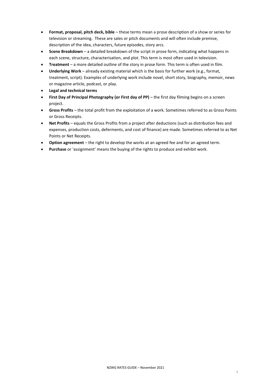- **Format, proposal, pitch deck, bible** these terms mean a prose description of a show or series for television or streaming. These are sales or pitch documents and will often include premise, description of the idea, characters, future episodes, story arcs.
- **Scene Breakdown** a detailed breakdown of the script in prose form, indicating what happens in each scene, structure, characterisation, and plot. This term is most often used in television.
- **Treatment**  a more detailed outline of the story in prose form. This term is often used in film.
- **Underlying Work** already existing material which is the basis for further work (e.g., format, treatment, script). Examples of underlying work include novel, short story, biography, memoir, news or magazine article, podcast, or play.
- **Legal and technical terms**
- **First Day of Principal Photography (or First day of PP)** the first day filming begins on a screen project.
- **Gross Profits** the total profit from the exploitation of a work. Sometimes referred to as Gross Points or Gross Receipts.
- **Net Profits** equals the Gross Profits from a project after deductions (such as distribution fees and expenses, production costs, deferments, and cost of finance) are made. Sometimes referred to as Net Points or Net Receipts.
- **Option agreement** the right to develop the works at an agreed fee and for an agreed term.
- **Purchase** or 'assignment' means the buying of the rights to produce and exhibit work.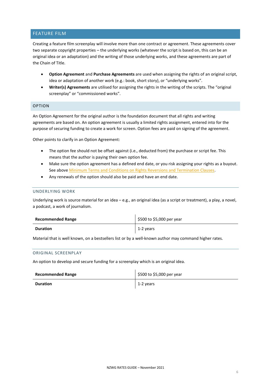### <span id="page-6-0"></span>FEATURE FILM

Creating a feature film screenplay will involve more than one contract or agreement. These agreements cover two separate copyright properties – the underlying works (whatever the script is based on, this can be an original idea or an adaptation) and the writing of those underlying works, and these agreements are part of the Chain of Title.

- **Option Agreement** and **Purchase Agreements** are used when assigning the rights of an original script, idea or adaptation of another work (e.g.: book, short story), or "underlying works".
- **Writer(s) Agreements** are utilised for assigning the rights in the writing of the scripts. The "original screenplay" or "commissioned works".

#### <span id="page-6-1"></span>OPTION

An Option Agreement for the original author is the foundation document that all rights and writing agreements are based on. An option agreement is usually a limited rights assignment, entered into for the purpose of securing funding to create a work for screen. Option fees are paid on signing of the agreement.

Other points to clarify in an Option Agreement:

- The option fee should not be offset against (i.e., deducted from) the purchase or script fee. This means that the author is paying their own option fee.
- Make sure the option agreement has a defined end date, or you risk assigning your rights as a buyout. See above [Minimum Terms and Conditions on Rights Reversions and Termination Clauses.](#page-4-0)
- Any renewals of the option should also be paid and have an end date.

#### <span id="page-6-2"></span>UNDERLYING WORK

Underlying work is source material for an idea – e.g., an original idea (as a script or treatment), a play, a novel, a podcast, a work of journalism.

| <b>Recommended Range</b> | \$500 to \$5,000 per year |
|--------------------------|---------------------------|
| <b>Duration</b>          | 1-2 years                 |

Material that is well known, on a bestsellers list or by a well-known author may command higher rates.

#### <span id="page-6-3"></span>ORIGINAL SCREENPLAY

An option to develop and secure funding for a screenplay which is an original idea.

<span id="page-6-4"></span>

| <b>Recommended Range</b> | \$500 to \$5,000 per year |
|--------------------------|---------------------------|
| <b>Duration</b>          | 1-2 years                 |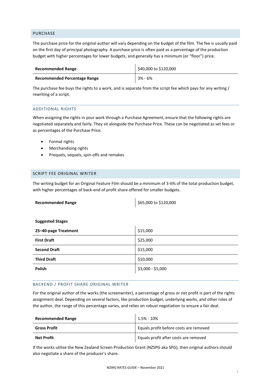#### <span id="page-7-0"></span>PURCHASE

The purchase price for the original author will vary depending on the budget of the film. The fee is usually paid on the first day of principal photography. A purchase price is often paid as a percentage of the production budget with higher percentages for lower budgets, and generally has a minimum (or "floor") price.

| <b>Recommended Range</b>            | \$40,000 to \$120,000 |
|-------------------------------------|-----------------------|
| <b>Recommended Percentage Range</b> | 3% - 6%               |

The purchase fee buys the rights to a work, and is separate from the script fee which pays for any writing / rewriting of a script.

#### <span id="page-7-1"></span>ADDITIONAL RIGHTS

When assigning the rights in your work through a Purchase Agreement, ensure that the following rights are negotiated separately and fairly. They sit alongside the Purchase Price. These can be negotiated as set fees or as percentages of the Purchase Price.

- Format rights
- Merchandising rights
- Prequels, sequels, spin-offs and remakes

#### <span id="page-7-2"></span>SCRIPT FEE ORIGINAL WRITER

The writing budget for an Original Feature Film should be a minimum of 3-6% of the total production budget, with higher percentages of back-end of profit share offered for smaller budgets.

| <b>Recommended Range</b> | \$65,000 to \$120,000 |
|--------------------------|-----------------------|
|--------------------------|-----------------------|

#### **Suggested Stages**

| 25-40-page Treatment | \$15,000          |
|----------------------|-------------------|
| <b>First Draft</b>   | \$25,000          |
| <b>Second Draft</b>  | \$15,000          |
| <b>Third Draft</b>   | \$10,000          |
| <b>Polish</b>        | \$3,000 - \$5,000 |

#### <span id="page-7-3"></span>BACKEND / PROFIT SHARE ORIGINAL WRITER

For the original author of the works (the screenwriter), a percentage of gross or net profit is part of the rights assignment deal. Depending on several factors, like production budget, underlying works, and other roles of the author, the range of this percentage varies, and relies on robust negotiation to ensure a fair deal.

| <b>Recommended Range</b> | $1.5\%$ - $10\%$                       |
|--------------------------|----------------------------------------|
| Gross Profit             | Equals profit before costs are removed |
| <b>Net Profit</b>        | Equals profit after costs are removed  |

If the works utilise the New Zealand Screen Production Grant (NZSPG aka SPG), then original authors should also negotiate a share of the producer's share.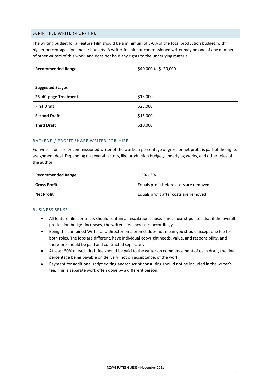#### <span id="page-8-0"></span>SCRIPT FEE WRITER-FOR-HIRE

The writing budget for a Feature Film should be a minimum of 3-6% of the total production budget, with higher percentages for smaller budgets. A writer-for-hire or commissioned writer may be one of any number of other writers of this work, and does not hold any rights to the underlying material.

| <b>Recommended Range</b> | \$40,000 to \$120,000 |
|--------------------------|-----------------------|
|                          |                       |
| <b>Suggested Stages</b>  |                       |
| 25-40-page Treatment     | \$15,000              |
| <b>First Draft</b>       | \$25,000              |
| <b>Second Draft</b>      | \$15,000              |
| <b>Third Draft</b>       | \$10,000              |

#### <span id="page-8-1"></span>BACKEND / PROFIT SHARE WRITER-FOR-HIRE

For writer-for-hire or commissioned writer of the works, a percentage of gross or net profit is part of the rights assignment deal. Depending on several factors, like production budget, underlying works, and other roles of the author.

| <b>Recommended Range</b> | $1.5\%$ - 3%                           |
|--------------------------|----------------------------------------|
| <b>Gross Profit</b>      | Equals profit before costs are removed |
| <b>Net Profit</b>        | Equals profit after costs are removed  |

#### <span id="page-8-2"></span>BUSINESS SENSE

- All feature film contracts should contain an escalation clause. This clause stipulates that if the overall production budget increases, the writer's fee increases accordingly.
- Being the combined Writer and Director on a project does not mean you should accept one fee for both roles. The jobs are different, have individual copyright needs, value, and responsibility, and therefore should be paid and contracted separately.
- At least 50% of each draft fee should be paid to the writer on commencement of each draft, the final percentage being payable on delivery*,* not on acceptance, of the work.
- Payment for additional script editing and/or script consulting should not be included in the writer's fee. This is separate work often done by a different person.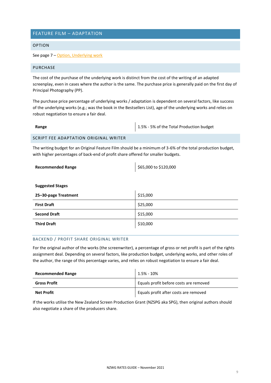### <span id="page-9-0"></span>FEATURE FILM – ADAPTATION

#### <span id="page-9-1"></span>OPTION

See page 7 – [Option, Underlying work](#page-6-3)

#### <span id="page-9-2"></span>PURCHASE

The cost of the purchase of the underlying work is distinct from the cost of the writing of an adapted screenplay, even in cases where the author is the same. The purchase price is generally paid on the first day of Principal Photography (PP).

The purchase price percentage of underlying works / adaptation is dependent on several factors, like success of the underlying works (e.g.; was the book in the Bestsellers List), age of the underlying works and relies on robust negotiation to ensure a fair deal.

<span id="page-9-3"></span>

| Range                                 | 1.5% - 5% of the Total Production budget |
|---------------------------------------|------------------------------------------|
| SCRIPT FEE ADAPTATION ORIGINAL WRITER |                                          |

The writing budget for an Original Feature Film should be a minimum of 3-6% of the total production budget, with higher percentages of back-end of profit share offered for smaller budgets.

| <b>Recommended Range</b> | \$65,000 to \$120,000 |
|--------------------------|-----------------------|
|                          |                       |
| <b>Suggested Stages</b>  |                       |
| 25-30-page Treatment     | \$15,000              |
| <b>First Draft</b>       | \$25,000              |
| <b>Second Draft</b>      | \$15,000              |
| <b>Third Draft</b>       | \$10,000              |

#### <span id="page-9-4"></span>BACKEND / PROFIT SHARE ORIGINAL WRITER

For the original author of the works (the screenwriter), a percentage of gross or net profit is part of the rights assignment deal. Depending on several factors, like production budget, underlying works, and other roles of the author, the range of this percentage varies, and relies on robust negotiation to ensure a fair deal.

| <b>Recommended Range</b> | 1.5% - 10%                             |
|--------------------------|----------------------------------------|
| <b>Gross Profit</b>      | Equals profit before costs are removed |
| <b>Net Profit</b>        | Equals profit after costs are removed  |

If the works utilise the New Zealand Screen Production Grant (NZSPG aka SPG), then original authors should also negotiate a share of the producers share.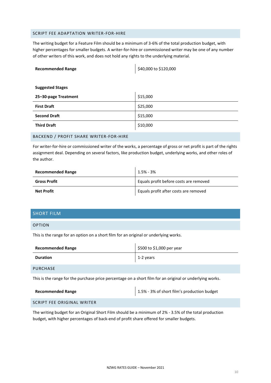#### <span id="page-10-0"></span>SCRIPT FEE ADAPTATION WRITER-FOR-HIRE

The writing budget for a Feature Film should be a minimum of 3-6% of the total production budget, with higher percentages for smaller budgets. A writer-for-hire or commissioned writer may be one of any number of other writers of this work, and does not hold any rights to the underlying material.

| <b>Recommended Range</b> | \$40,000 to \$120,000 |
|--------------------------|-----------------------|
|                          |                       |
| <b>Suggested Stages</b>  |                       |
| 25-30-page Treatment     | \$15,000              |
| <b>First Draft</b>       | \$25,000              |
| <b>Second Draft</b>      | \$15,000              |
| <b>Third Draft</b>       | \$10,000              |

#### <span id="page-10-1"></span>BACKEND / PROFIT SHARE WRITER-FOR-HIRE

For writer-for-hire or commissioned writer of the works, a percentage of gross or net profit is part of the rights assignment deal. Depending on several factors, like production budget, underlying works, and other roles of the author.

| <b>Recommended Range</b> | $1.5\%$ - 3%                           |
|--------------------------|----------------------------------------|
| <b>Gross Profit</b>      | Equals profit before costs are removed |
| <b>Net Profit</b>        | Equals profit after costs are removed  |

#### <span id="page-10-2"></span>SHORT FILM

#### <span id="page-10-3"></span>OPTION

This is the range for an option on a short film for an original or underlying works.

| <b>Recommended Range</b> | $\frac{1}{2}$ \$500 to \$1,000 per year |
|--------------------------|-----------------------------------------|
| <b>Duration</b>          | 1-2 years                               |
| PURCHASE                 |                                         |

 $\overline{1}$ 

<span id="page-10-4"></span>This is the range for the purchase price percentage on a short film for an original or underlying works.

| <b>Recommended Range</b> | 1.5% - 3% of short film's production budget |
|--------------------------|---------------------------------------------|
|                          |                                             |

<span id="page-10-5"></span>SCRIPT FEE ORIGINAL WRITER

The writing budget for an Original Short Film should be a minimum of 2% - 3.5% of the total production budget, with higher percentages of back-end of profit share offered for smaller budgets.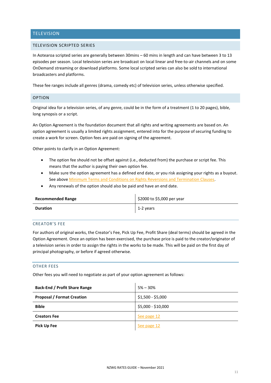#### <span id="page-11-0"></span>**TELEVISION**

#### <span id="page-11-1"></span>TELEVISION SCRIPTED SERIES

In Aotearoa scripted series are generally between 30mins – 60 mins in length and can have between 3 to 13 episodes per season. Local television series are broadcast on local linear and free-to-air channels and on some OnDemand streaming or download platforms. Some local scripted series can also be sold to international broadcasters and platforms.

These fee ranges include all genres (drama, comedy etc) of television series, unless otherwise specified.

#### <span id="page-11-2"></span>OPTION

Original idea for a television series, of any genre, could be in the form of a treatment (1 to 20 pages), bible, long synopsis or a script.

An Option Agreement is the foundation document that all rights and writing agreements are based on. An option agreement is usually a limited rights assignment, entered into for the purpose of securing funding to create a work for screen. Option fees are paid on signing of the agreement.

Other points to clarify in an Option Agreement:

- The option fee should not be offset against (i.e., deducted from) the purchase or script fee. This means that the author is paying their own option fee.
- Make sure the option agreement has a defined end date, or you risk assigning your rights as a buyout. See above [Minimum Terms and Conditions on Rights Reversions and Termination Clauses.](#page-4-0)
- Any renewals of the option should also be paid and have an end date.

| <b>Recommended Range</b> | \$2000 to \$5,000 per year |
|--------------------------|----------------------------|
| Duration                 | $1-2$ years                |

#### <span id="page-11-3"></span>CREATOR'S FEE

For authors of original works, the Creator's Fee, Pick Up Fee, Profit Share (deal terms) should be agreed in the Option Agreement. Once an option has been exercised, the purchase price is paid to the creator/originator of a television series in order to assign the rights in the works to be made. This will be paid on the first day of principal photography, or before if agreed otherwise.

#### <span id="page-11-4"></span>OTHER FEES

Other fees you will need to negotiate as part of your option agreement as follows:

| <b>Back-End / Profit Share Range</b> | $5\% - 30\%$       |
|--------------------------------------|--------------------|
| <b>Proposal / Format Creation</b>    | \$1,500 - \$5,000  |
| <b>Bible</b>                         | \$5,000 - \$10,000 |
| <b>Creators Fee</b>                  | See page 12        |
| <b>Pick Up Fee</b>                   | See page 12        |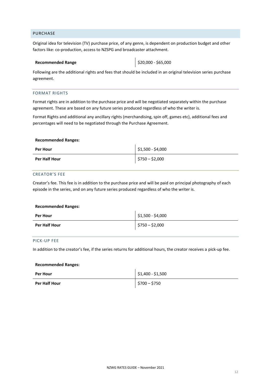#### <span id="page-12-0"></span>PURCHASE

Original idea for television (TV) purchase price, of any genre, is dependent on production budget and other factors like: co-production, access to NZSPG and broadcaster attachment.

#### **Recommended Range**  $\left| \right. \right. \left. \right\}$  **\$20,000 - \$65,000**

Following are the additional rights and fees that should be included in an original television series purchase agreement.

#### <span id="page-12-1"></span>FORMAT RIGHTS

Format rights are in addition to the purchase price and will be negotiated separately within the purchase agreement. These are based on any future series produced regardless of who the writer is.

Format Rights and additional any ancillary rights (merchandising, spin off, games etc), additional fees and percentages will need to be negotiated through the Purchase Agreement.

#### **Recommended Ranges:**

| <b>Per Hour</b>      | $\frac{1}{2}$ \$1,500 - \$4,000 |
|----------------------|---------------------------------|
| <b>Per Half Hour</b> | $$750 - $2,000$                 |

#### <span id="page-12-2"></span>CREATOR'S FEE

Creator's fee. This fee is in addition to the purchase price and will be paid on principal photography of each episode in the series, and on any future series produced regardless of who the writer is.

#### **Recommended Ranges:**

| <b>Per Hour</b> | \$1,500 - \$4,000 |
|-----------------|-------------------|
| Per Half Hour   | $$750 - $2,000$   |

#### <span id="page-12-3"></span>PICK-UP FEE

In addition to the creator's fee, if the series returns for additional hours, the creator receives a pick-up fee.

#### **Recommended Ranges:**

| <b>Per Hour</b>      | $$1,400 - $1,500$ |
|----------------------|-------------------|
| <b>Per Half Hour</b> | $$700 - $750$     |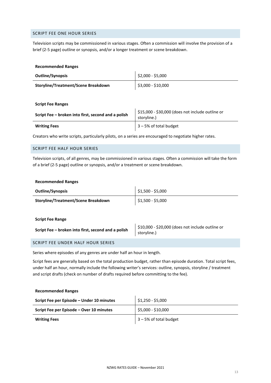#### <span id="page-13-0"></span>SCRIPT FEE ONE HOUR SERIES

Television scripts may be commissioned in various stages. Often a commission will involve the provision of a brief (2-5 page) outline or synopsis, and/or a longer treatment or scene breakdown.

| <b>Recommended Ranges</b>                           |                                                                 |
|-----------------------------------------------------|-----------------------------------------------------------------|
| <b>Outline/Synopsis</b>                             | \$2,000 - \$5,000                                               |
| Storyline/Treatment/Scene Breakdown                 | \$3,000 - \$10,000                                              |
|                                                     |                                                                 |
| <b>Script Fee Ranges</b>                            |                                                                 |
| Script Fee – broken into first, second and a polish | \$15,000 - \$30,000 (does not include outline or<br>storyline.) |
| <b>Writing Fees</b>                                 | $3 - 5%$ of total budget                                        |

Creators who write scripts, particularly pilots, on a series are encouraged to negotiate higher rates.

#### <span id="page-13-1"></span>SCRIPT FEE HALF HOUR SERIES

Television scripts, of all genres, may be commissioned in various stages. Often a commission will take the form of a brief (2-5 page) outline or synopsis, and/or a treatment or scene breakdown.

#### **Recommended Ranges**

| <b>Outline/Synopsis</b>                    | \$1,500 - \$5,000 |
|--------------------------------------------|-------------------|
| <b>Storyline/Treatment/Scene Breakdown</b> | $$1,500 - $5,000$ |

#### **Script Fee Range**

**Recommended Ranges**

| Script Fee - broken into first, second and a polish | \$10,000 - \$20,000 (does not include outline or<br>storyline.) |
|-----------------------------------------------------|-----------------------------------------------------------------|
|-----------------------------------------------------|-----------------------------------------------------------------|

#### <span id="page-13-2"></span>SCRIPT FEE UNDER HALF HOUR SERIES

Series where episodes of any genres are under half an hour in length.

Script fees are generally based on the total production budget, rather than episode duration. Total script fees, under half an hour, normally include the following writer's services: outline, synopsis, storyline / treatment and script drafts (check on number of drafts required before committing to the fee).

| Script Fee per Episode - Under 10 minutes | \$1,250 - \$5,000        |
|-------------------------------------------|--------------------------|
| Script Fee per Episode - Over 10 minutes  | \$5,000 - \$10,000       |
| <b>Writing Fees</b>                       | $3 - 5%$ of total budget |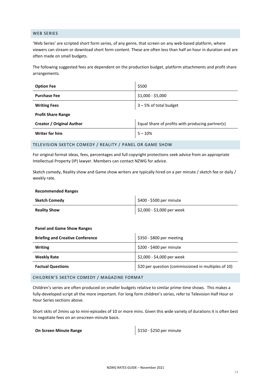#### <span id="page-14-0"></span>WEB SERIES

'Web Series' are scripted short form series, of any genre, that screen on any web-based platform, where viewers can stream or download short form content. These are often less than half an hour in duration and are often made on small budgets.

The following suggested fees are dependent on the production budget, platform attachments and profit share arrangements.

| <b>Option Fee</b>                | \$500                                            |  |
|----------------------------------|--------------------------------------------------|--|
| <b>Purchase Fee</b>              | $$1,000 - $5,000$                                |  |
| <b>Writing Fees</b>              | 3-5% of total budget                             |  |
| <b>Profit Share Range</b>        |                                                  |  |
| <b>Creator / Original Author</b> | Equal Share of profits with producing partner(s) |  |
| <b>Writer for hire</b>           | $5 - 10%$                                        |  |

#### <span id="page-14-1"></span>TELEVISION SKETCH COMEDY / REALITY / PANEL OR GAME SHOW

For original format ideas, fees, percentages and full copyright protections seek advice from an appropriate Intellectual Property (IP) lawyer. Members can contact NZWG for advice.

Sketch comedy, Reality show and Game show writers are typically hired on a per minute / sketch fee or daily / weekly rate.

#### **Recommended Ranges**

| Sketch Comedy       | \$400 - \$500 per minute   |
|---------------------|----------------------------|
| <b>Reality Show</b> | \$2,000 - \$3,000 per week |

#### **Panel and Game Show Ranges**

| <b>Briefing and Creative Conference</b> | \$350 - \$800 per meeting                           |
|-----------------------------------------|-----------------------------------------------------|
| <b>Writing</b>                          | \$200 - \$400 per minute                            |
| <b>Weekly Rate</b>                      | \$2,000 - \$4,000 per week                          |
| <b>Factual Questions</b>                | \$20 per question (commissioned in multiples of 10) |

#### <span id="page-14-2"></span>CHILDREN'S SKETCH COMEDY / MAGAZINE FORMAT

Children's series are often produced on smaller budgets relative to similar prime-time shows. This makes a fully-developed script all the more important. For long form children's series, refer to Television Half Hour or Hour Series sections above.

Short skits of 2mins up to mini-episodes of 10 or more mins. Given this wide variety of durations it is often best to negotiate fees on an onscreen-minute basis.

**On Screen Minute Range 1988 CONSIDER 1999** S150 - \$250 per minute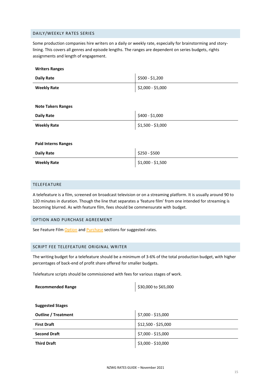#### <span id="page-15-0"></span>DAILY/WEEKLY RATES SERIES

Some production companies hire writers on a daily or weekly rate, especially for brainstorming and storylining. This covers all genres and episode lengths. The ranges are dependent on series budgets, rights assignments and length of engagement.

| <b>Writers Ranges</b>      |                   |
|----------------------------|-------------------|
| <b>Daily Rate</b>          | \$500 - \$1,200   |
| <b>Weekly Rate</b>         | \$2,000 - \$5,000 |
|                            |                   |
| <b>Note Takers Ranges</b>  |                   |
| <b>Daily Rate</b>          | \$400 - \$1,000   |
| <b>Weekly Rate</b>         | \$1,500 - \$3,000 |
|                            |                   |
| <b>Paid Interns Ranges</b> |                   |
| <b>Daily Rate</b>          | \$250 - \$500     |
| <b>Weekly Rate</b>         | $$1,000 - $1,500$ |

#### <span id="page-15-1"></span>TELEFEATURE

A telefeature is a film, screened on broadcast television or on a streaming platform. It is usually around 90 to 120 minutes in duration. Though the line that separates a 'feature film' from one intended for streaming is becoming blurred. As with feature film, fees should be commensurate with budget.

#### <span id="page-15-2"></span>OPTION AND PURCHASE AGREEMENT

See Feature Film [Option](#page-9-1) and [Purchase](#page-6-4) sections for suggested rates.

#### <span id="page-15-3"></span>SCRIPT FEE TELEFEATURE ORIGINAL WRITER

The writing budget for a telefeature should be a minimum of 3-6% of the total production budget, with higher percentages of back-end of profit share offered for smaller budgets.

Telefeature scripts should be commissioned with fees for various stages of work.

| <b>Recommended Range</b>   | \$30,000 to \$65,000 |
|----------------------------|----------------------|
|                            |                      |
| <b>Suggested Stages</b>    |                      |
| <b>Outline / Treatment</b> | \$7,000 - \$15,000   |
| <b>First Draft</b>         | \$12,500 - \$25,000  |
| <b>Second Draft</b>        | \$7,000 - \$15,000   |
| <b>Third Draft</b>         | \$3,000 - \$10,000   |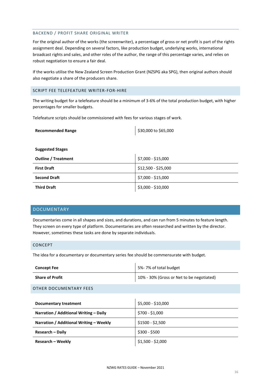#### <span id="page-16-0"></span>BACKEND / PROFIT SHARE ORIGINAL WRITER

For the original author of the works (the screenwriter), a percentage of gross or net profit is part of the rights assignment deal. Depending on several factors, like production budget, underlying works, international broadcast rights and sales, and other roles of the author, the range of this percentage varies, and relies on robust negotiation to ensure a fair deal.

If the works utilise the New Zealand Screen Production Grant (NZSPG aka SPG), then original authors should also negotiate a share of the producers share.

#### <span id="page-16-1"></span>SCRIPT FEE TELEFEATURE WRITER-FOR-HIRE

The writing budget for a telefeature should be a minimum of 3-6% of the total production budget, with higher percentages for smaller budgets.

Telefeature scripts should be commissioned with fees for various stages of work.

| <b>Recommended Range</b>   | \$30,000 to \$65,000 |
|----------------------------|----------------------|
|                            |                      |
| <b>Suggested Stages</b>    |                      |
| <b>Outline / Treatment</b> | \$7,000 - \$15,000   |
| <b>First Draft</b>         | \$12,500 - \$25,000  |
| <b>Second Draft</b>        | \$7,000 - \$15,000   |
| <b>Third Draft</b>         | \$3,000 - \$10,000   |

#### <span id="page-16-2"></span>DOCUMENTARY

Documentaries come in all shapes and sizes, and durations, and can run from 5 minutes to feature length. They screen on every type of platform. Documentaries are often researched and written by the director. However, sometimes these tasks are done by separate individuals.

#### <span id="page-16-3"></span>CONCEPT

The idea for a documentary or documentary series fee should be commensurate with budget.

| <b>Concept Fee</b>         | 5%-7% of total budget                     |
|----------------------------|-------------------------------------------|
| <b>Share of Profit</b>     | 10% - 30% (Gross or Net to be negotiated) |
| $Q$ TUER RAGUALENTARY EEEG |                                           |

#### <span id="page-16-4"></span>OTHER DOCUMENTARY FEES

| Documentary treatment                   | \$5,000 - \$10,000 |
|-----------------------------------------|--------------------|
| Narration / Additional Writing – Daily  | \$700 - \$1,000    |
| Narration / Additional Writing – Weekly | $$1500 - $2,500$   |
| <b>Research - Daily</b>                 | \$300 - \$500      |
| <b>Research – Weekly</b>                | $$1,500 - $2,000$  |